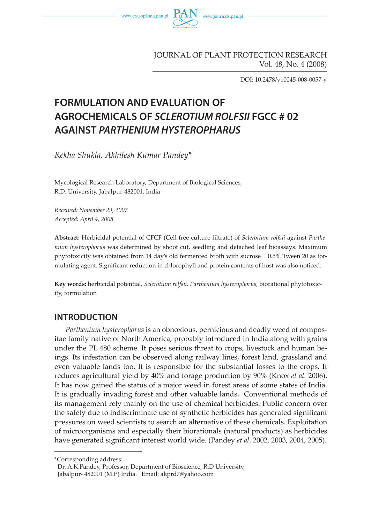

JOURNAL OF PLANT PROTECTION RESEARCH Vol. 48, No. 4 (2008)

DOI: 10.2478/v10045-008-0057-y

# **FORMULATION AND EVALUATION OF AGROCHEMICALS OF SCLEROTIUM ROLFSII FGCC # 02 AGAINST PARTHENIUM HYSTEROPHARUS**

*Rekha Shukla, Akhilesh Kumar Pandey\** 

Mycological Research Laboratory, Department of Biological Sciences, R.D. University, Jabalpur-482001, India

*Received: November 29, 2007 Accepted: April 4, 2008*

**Abstract:** Herbicidal potential of CFCF (Cell free culture filtrate) of *Sclerotium rolfsii* against *Parthenium hysterophorus* was determined by shoot cut, seedling and detached leaf bioassays. Maximum phytotoxicity was obtained from 14 day's old fermented broth with sucrose + 0.5% Tween 20 as formulating agent. Significant reduction in chlorophyll and protein contents of host was also noticed.

**Key words:** herbicidal potential, *Sclerotium rolfsii, Parthenium hysterophorus,* biorational phytotoxicity, formulation

# **INTRODUCTION**

*Parthenium hysterophorus* is an obnoxious, pernicious and deadly weed of compositae family native of North America, probably introduced in India along with grains under the PL 480 scheme. It poses serious threat to crops, livestock and human beings. Its infestation can be observed along railway lines, forest land, grassland and even valuable lands too. It is responsible for the substantial losses to the crops. It reduces agricultural yield by 40% and forage production by 90% (Knox *et al.* 2006). It has now gained the status of a major weed in forest areas of some states of India. It is gradually invading forest and other valuable lands**.** Conventional methods of its management rely mainly on the use of chemical herbicides. Public concern over the safety due to indiscriminate use of synthetic herbicides has generated significant pressures on weed scientists to search an alternative of these chemicals. Exploitation of microorganisms and especially their biorationals (natural products) as herbicides have generated significant interest world wide. (Pandey *et al*. 2002, 2003, 2004, 2005).

<sup>\*</sup>Corresponding address:

Dr. A.K.Pandey, Professor, Department of Bioscience, R.D University,

Jabalpur- 482001 (M.P) India. Email: akprd7@yahoo.com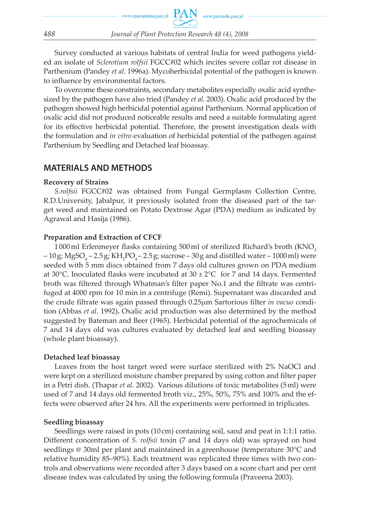Survey conducted at various habitats of central India for weed pathogens yielded an isolate of *Sclerotium rolfsii* FGCC#02 which incites severe collar rot disease in Parthenium (Pandey *et al*. 1996a). Mycoherbicidal potential of the pathogen is known to influence by environmental factors.

To overcome these constraints, secondary metabolites especially oxalic acid synthesized by the pathogen have also tried (Pandey *et al*. 2003). Oxalic acid produced by the pathogen showed high herbicidal potential against Parthenium. Normal application of oxalic acid did not produced noticeable results and need a suitable formulating agent for its effective herbicidal potential. Therefore, the present investigation deals with the formulation and *in vitro* evaluation of herbicidal potential of the pathogen against Parthenium by Seedling and Detached leaf bioassay.

# **MATERIALS AND METHODS**

#### **Recovery of Strains**

*S.rolfsii* FGCC#02 was obtained from Fungal Germplasm Collection Centre, R.D.University, Jabalpur, it previously isolated from the diseased part of the target weed and maintained on Potato Dextrose Agar (PDA) medium as indicated by Agrawal and Hasija (1986).

### **Preparation and Extraction of CFCF**

1000 ml Erlenmeyer flasks containing 500 ml of sterilized Richard's broth (KNO<sub>3</sub>)  $-10$  g; MgSO<sub>4</sub>  $-2.5$  g; KH<sub>2</sub>PO<sub>4</sub>  $-2.5$  g; sucrose  $-30$  g and distilled water  $-1000$  ml) were seeded with 5 mm discs obtained from 7 days old cultures grown on PDA medium at 30 $^{\circ}$ C. Inoculated flasks were incubated at 30  $\pm$  2 $^{\circ}$ C for 7 and 14 days. Fermented broth was filtered through Whatman's filter paper No.1 and the filtrate was centrifuged at 4000 rpm for 10 min in a centrifuge (Remi). Supernatant was discarded and the crude filtrate was again passed through 0.25µm Sartorious filter *in vacuo* condition (Abbas *et al.* 1992)**.** Oxalic acid production was also determined by the method suggested by Bateman and Beer (1965). Herbicidal potential of the agrochemicals of 7 and 14 days old was cultures evaluated by detached leaf and seedling bioassay (whole plant bioassay).

#### **Detached leaf bioassay**

Leaves from the host target weed were surface sterilized with 2% NaOCl and were kept on a sterilized moisture chamber prepared by using cotton and filter paper in a Petri dish. (Thapar *et al.* 2002). Various dilutions of toxic metabolites (5 ml) were used of 7 and 14 days old fermented broth viz., 25%, 50%, 75% and 100% and the effects were observed after 24 hrs. All the experiments were performed in triplicates.

#### **Seedling bioassay**

Seedlings were raised in pots (10 cm) containing soil, sand and peat in 1:1:1 ratio. Different concentration of *S. rolfsii* toxin (7 and 14 days old) was sprayed on host seedlings @ 30ml per plant and maintained in a greenhouse (temperature 30°C and relative humidity 85–90%). Each treatment was replicated three times with two controls and observations were recorded after 3 days based on a score chart and per cent disease index was calculated by using the following formula (Praveena 2003).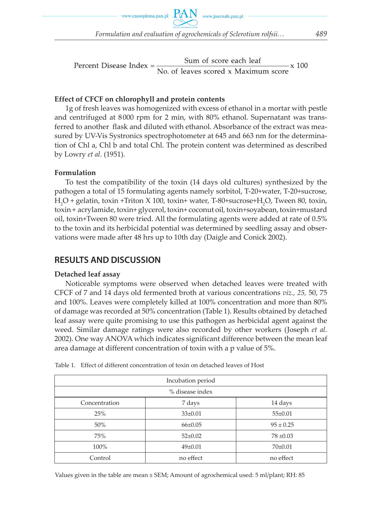*Formulation and evaluation of agrochemicals of Sclerotium rolfsii… 489*

Percent Disease Index =  $\frac{\text{Sum of score each leaf}}{\text{No. of leaves scored x Maximum score}}$  x 100

### **Effect of CFCF on chlorophyll and protein contents**

1g of fresh leaves was homogenized with excess of ethanol in a mortar with pestle and centrifuged at 8 000 rpm for 2 min, with 80% ethanol. Supernatant was transferred to another flask and diluted with ethanol. Absorbance of the extract was measured by UV-Vis Systronics spectrophotometer at 645 and 663 nm for the determination of Chl a, Chl b and total Chl. The protein content was determined as described by Lowry *et al.* (1951).

### **Formulation**

To test the compatibility of the toxin (14 days old cultures) synthesized by the pathogen a total of 15 formulating agents namely sorbitol, T-20+water, T-20+sucrose, H<sub>2</sub>O + gelatin, toxin +Triton X 100, toxin+ water, T-80+sucrose+H<sub>2</sub>O, Tween 80, toxin, toxin + acrylamide, toxin+ glycerol, toxin+ coconut oil, toxin+soyabean, toxin+mustard oil, toxin+Tween 80 were tried. All the formulating agents were added at rate of 0.5% to the toxin and its herbicidal potential was determined by seedling assay and observations were made after 48 hrs up to 10th day (Daigle and Conick 2002).

# **RESULTS AND DISCUSSION**

## **Detached leaf assay**

Noticeable symptoms were observed when detached leaves were treated with CFCF of 7 and 14 days old fermented broth at various concentrations *viz., 25,* 50, 75 and 100%. Leaves were completely killed at 100% concentration and more than 80% of damage was recorded at 50% concentration (Table 1). Results obtained by detached leaf assay were quite promising to use this pathogen as herbicidal agent against the weed. Similar damage ratings were also recorded by other workers (Joseph *et al.* 2002). One way ANOVA which indicates significant difference between the mean leaf area damage at different concentration of toxin with a p value of 5%.

| Incubation period                  |               |               |  |  |  |  |
|------------------------------------|---------------|---------------|--|--|--|--|
| % disease index                    |               |               |  |  |  |  |
| Concentration<br>7 days<br>14 days |               |               |  |  |  |  |
| 25%                                | $33\pm0.01$   | $55 \pm 0.01$ |  |  |  |  |
| $50\%$                             | $66 \pm 0.05$ | $95 \pm 0.25$ |  |  |  |  |
| 75%                                | $52 \pm 0.02$ | $78 \pm 0.03$ |  |  |  |  |
| 100%                               | $49 \pm 0.01$ | $70\pm0.01$   |  |  |  |  |
| Control                            | no effect     | no effect     |  |  |  |  |

| Table 1. Effect of different concentration of toxin on detached leaves of Host |  |  |
|--------------------------------------------------------------------------------|--|--|
|                                                                                |  |  |

Values given in the table are mean ± SEM; Amount of agrochemical used: 5 ml/plant; RH: 85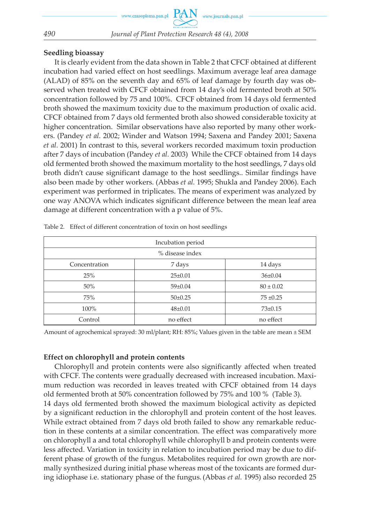### **Seedling bioassay**

It is clearly evident from the data shown in Table 2 that CFCF obtained at different incubation had varied effect on host seedlings. Maximum average leaf area damage (ALAD) of 85% on the seventh day and 65% of leaf damage by fourth day was observed when treated with CFCF obtained from 14 day's old fermented broth at 50% concentration followed by 75 and 100%. CFCF obtained from 14 days old fermented broth showed the maximum toxicity due to the maximum production of oxalic acid. CFCF obtained from 7 days old fermented broth also showed considerable toxicity at higher concentration. Similar observations have also reported by many other workers. (Pandey *et al.* 2002; Winder and Watson 1994; Saxena and Pandey 2001; Saxena *et al.* 2001) In contrast to this, several workers recorded maximum toxin production after 7 days of incubation (Pandey *et al.* 2003) While the CFCF obtained from 14 days old fermented broth showed the maximum mortality to the host seedlings, 7 days old broth didn't cause significant damage to the host seedlings.. Similar findings have also been made by other workers. (Abbas *et al.* 1995; Shukla and Pandey 2006). Each experiment was performed in triplicates. The means of experiment was analyzed by one way ANOVA which indicates significant difference between the mean leaf area damage at different concentration with a p value of 5%.

| Incubation period |               |               |  |  |  |  |
|-------------------|---------------|---------------|--|--|--|--|
| % disease index   |               |               |  |  |  |  |
| Concentration     | 7 days        | 14 days       |  |  |  |  |
| 25%               | $25 \pm 0.01$ | $36 \pm 0.04$ |  |  |  |  |
| 50%               | $59 \pm 0.04$ | $80 \pm 0.02$ |  |  |  |  |
| 75%               | $50\pm0.25$   | $75 \pm 0.25$ |  |  |  |  |
| 100%              | $48 \pm 0.01$ | $73 \pm 0.15$ |  |  |  |  |
| Control           | no effect     | no effect     |  |  |  |  |

Table 2. Effect of different concentration of toxin on host seedlings

Amount of agrochemical sprayed: 30 ml/plant; RH: 85%; Values given in the table are mean ± SEM

### **Effect on chlorophyll and protein contents**

Chlorophyll and protein contents were also significantly affected when treated with CFCF. The contents were gradually decreased with increased incubation. Maximum reduction was recorded in leaves treated with CFCF obtained from 14 days old fermented broth at 50% concentration followed by 75% and 100 % (Table 3). 14 days old fermented broth showed the maximum biological activity as depicted by a significant reduction in the chlorophyll and protein content of the host leaves. While extract obtained from 7 days old broth failed to show any remarkable reduction in these contents at a similar concentration. The effect was comparatively more on chlorophyll a and total chlorophyll while chlorophyll b and protein contents were less affected. Variation in toxicity in relation to incubation period may be due to different phase of growth of the fungus. Metabolites required for own growth are normally synthesized during initial phase whereas most of the toxicants are formed during idiophase i.e. stationary phase of the fungus.(Abbas *et al.* 1995) also recorded 25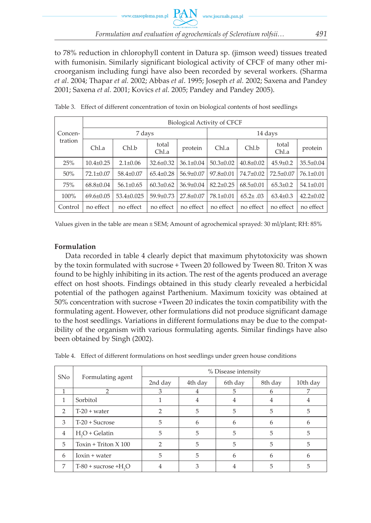to 78% reduction in chlorophyll content in Datura sp. (jimson weed) tissues treated with fumonisin. Similarly significant biological activity of CFCF of many other microorganism including fungi have also been recorded by several workers. (Sharma *et al*. 2004; Thapar *et al.* 2002; Abbas *et al*. 1995; Joseph *et al.* 2002; Saxena and Pandey 2001; Saxena *et al.* 2001; Kovics *et al.* 2005; Pandey and Pandey 2005).

| Concen-<br>tration | <b>Biological Activity of CFCF</b> |                 |                 |                 |                 |                 |                 |                 |  |
|--------------------|------------------------------------|-----------------|-----------------|-----------------|-----------------|-----------------|-----------------|-----------------|--|
|                    | 7 days                             |                 |                 |                 | 14 days         |                 |                 |                 |  |
|                    | Chl.a                              | Chl.b           | total<br>Chl.a  | protein         | Chl.a           | Chl.b           | total<br>Chl.a  | protein         |  |
| 25%                | $10.4 \pm 0.25$                    | $2.1 \pm 0.06$  | $32.6 \pm 0.32$ | $36.1 \pm 0.04$ | $50.3 \pm 0.02$ | $40.8 \pm 0.02$ | $45.9 \pm 0.2$  | $35.5 \pm 0.04$ |  |
| 50%                | $72.1 \pm 0.07$                    | $58.4 \pm 0.07$ | $65.4 \pm 0.28$ | 56.9±0.07       | $97.8 \pm 0.01$ | 74.7±0.02       | $72.5 \pm 0.07$ | $76.1 \pm 0.01$ |  |
| 75%                | $68.8 \pm 0.04$                    | $56.1 \pm 0.65$ | $60.3 \pm 0.62$ | $36.9 \pm 0.04$ | $82.2 \pm 0.25$ | $68.5 \pm 0.01$ | $65.3 \pm 0.2$  | $54.1 \pm 0.01$ |  |
| 100%               | $69.6 \pm 0.05$                    | 53.4±0.025      | 59.9±0.73       | 27.8±0.07       | $78.1 \pm 0.01$ | $65.2 \pm .03$  | $63.4 \pm 0.3$  | $42.2 \pm 0.02$ |  |
| Control            | no effect                          | no effect       | no effect       | no effect       | no effect       | no effect       | no effect       | no effect       |  |

Table 3. Effect of different concentration of toxin on biological contents of host seedlings

Values given in the table are mean ± SEM; Amount of agrochemical sprayed: 30 ml/plant; RH: 85%

### **Formulation**

Data recorded in table 4 clearly depict that maximum phytotoxicity was shown by the toxin formulated with sucrose + Tween 20 followed by Tween 80. Triton X was found to be highly inhibiting in its action. The rest of the agents produced an average effect on host shoots. Findings obtained in this study clearly revealed a herbicidal potential of the pathogen against Parthenium. Maximum toxicity was obtained at 50% concentration with sucrose +Tween 20 indicates the toxin compatibility with the formulating agent. However, other formulations did not produce significant damage to the host seedlings. Variations in different formulations may be due to the compatibility of the organism with various formulating agents. Similar findings have also been obtained by Singh (2002).

| SN <sub>o</sub> | Formulating agent       | % Disease intensity |         |         |         |          |  |
|-----------------|-------------------------|---------------------|---------|---------|---------|----------|--|
|                 |                         | 2nd day             | 4th day | 6th day | 8th day | 10th day |  |
|                 | ∍                       | 3                   |         | 5       | h       |          |  |
| 1               | Sorbitol                |                     | 4       | 4       |         |          |  |
| $\overline{2}$  | $T-20$ + water          | 2                   | 5       | 5       | 5       | 5        |  |
| 3               | $T-20 +$ Sucrose        | 5                   | h       | h       | 6       | 6        |  |
| $\overline{4}$  | $H2O + Gelatin$         | 5                   | 5       | 5       | 5       | 5        |  |
| 5               | Toxin + Triton $X$ 100  | 2                   | 5       | 5       | 5       | 5        |  |
| 6               | $Ioxin + water$         | 5                   | 5       | h       | 6       | 6        |  |
| 7               | $T-80 +$ sucrose $+H2O$ | 4                   | 3       | 4       | 5       | 5        |  |

Table 4. Effect of different formulations on host seedlings under green house conditions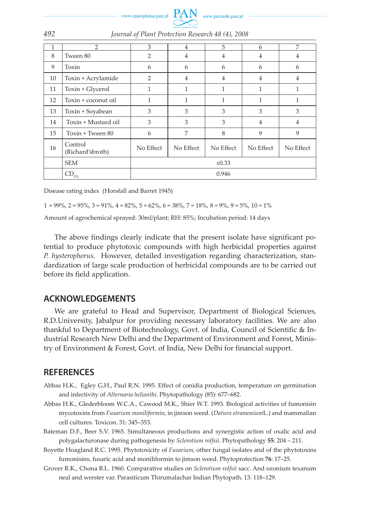

|    | 2                           | 3              | $\overline{4}$ | 5              | 6              | 7              |
|----|-----------------------------|----------------|----------------|----------------|----------------|----------------|
| 8  | Tween 80                    | $\overline{2}$ | $\overline{4}$ | 4              | $\overline{4}$ | 4              |
| 9  | Toxin                       | 6              | 6              | 6              | 6              | 6              |
| 10 | Toxin + Acrylamide          | 2              | 4              | $\overline{4}$ | $\overline{4}$ | $\overline{4}$ |
| 11 | Toxin + Glycerol            | 1              | 1              | 1              | 1              | 1              |
| 12 | Toxin + coconut oil         | 1              | 1              | 1              | 1              | 1              |
| 13 | Toxin + Soyabean            | 3              | 3              | 3              | 3              | 3              |
| 14 | Toxin + Mustard oil         | 3              | 3              | 3              | $\overline{4}$ | $\overline{4}$ |
| 15 | Toxin + Tween 80            | 6              | 7              | 8              | 9              | 9              |
| 16 | Control<br>(Richard'sbroth) | No Effect      | No Effect      | No Effect      | No Effect      | No Effect      |
|    | <b>SEM</b>                  | $\pm 0.33$     |                |                |                |                |
|    | $\text{CD}_{5\%}$           | 0.946          |                |                |                |                |

*492 Journal of Plant Protection Research 48 (4), 2008*

Disease rating index (Horsfall and Barret 1945)

 $1 = 99\%, 2 = 95\%, 3 = 91\%, 4 = 82\%, 5 = 62\%, 6 = 38\%, 7 = 18\%, 8 = 9\%, 9 = 5\%, 10 = 1\%$ 

Amount of agrochemical sprayed: 30ml/plant; RH: 85%; Incubation period: 14 days

The above findings clearly indicate that the present isolate have significant potential to produce phytotoxic compounds with high herbicidal properties against *P. hysterophorus*. However, detailed investigation regarding characterization, standardization of large scale production of herbicidal compounds are to be carried out before its field application.

### **ACKNOWLEDGEMENTS**

We are grateful to Head and Supervisor, Department of Biological Sciences, R.D.University, Jabalpur for providing necessary laboratory facilities. We are also thankful to Department of Biotechnology, Govt. of India, Council of Scientific & Industrial Research New Delhi and the Department of Environment and Forest, Ministry of Environment & Forest, Govt. of India, New Delhi for financial support.

## **REFERENCES**

- Abbas H.K., Egley G.H., Paul R.N. 1995. Effect of conidia production, temperature on germination and infectivity of *Alternaria helianthi*. Phytopathology (85): 677–682.
- Abbas H.K., Glederbloom W.C.A., Cawood M.K., Shier W.T. 1993. Biological activities of fumonisin mycotoxins from *Fusarium moniliformin*, in jimson weed. (*Datura stramonium*L.) and mammalian cell cultures. Toxicon. 31: 345–353.
- Bateman D.F., Beer S.V. 1965. Simultaneous productions and synergistic action of oxalic acid and polygalacturonase during pathogenesis by *Sclerotium rolfsii*. Phytopathology **55**: 204 – 211.
- Boyette Hoagland R.C. 1995. Phytotoxicity of *Fusarium*, other fungal isolates and of the phytotoxins fumonisins, fusaric acid and moniliformin to jimson weed. Phytoprotection **76**: 17–25.
- Grover R.K., Chona B.L. 1960. Comparative studies on *Sclerotium rolfsii* sacc. And ozonium texanum neal and werster var. Parasiticum Thirumalachar Indian Phytopath. 13: 118–129.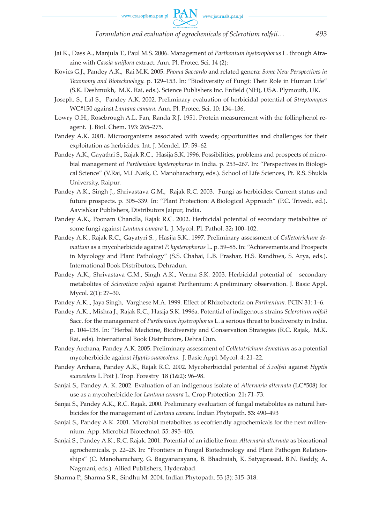- Jai K., Dass A., Manjula T., Paul M.S. 2006. Management of *Parthenium hysterophorus* L. through Atrazine with *Cassia uniflora* extract. Ann. Pl. Protec. Sci. 14 (2):
- Kovics G.J., Pandey A.K., Rai M.K. 2005. *Phoma Saccardo* and related genera: *Some New Perspectives in Taxonomy and Biotechnology.* p. 129–153. In: "Biodiversity of Fungi: Their Role in Human Life" (S.K. Deshmukh, M.K. Rai, eds.). Science Publishers Inc. Enfield (NH), USA. Plymouth, UK.
- Joseph. S., Lal S., Pandey A.K. 2002. Preliminary evaluation of herbicidal potential of *Streptomyces* WC#150 against *Lantana camara*. Ann. Pl. Protec. Sci. 10: 134–136.
- Lowry O.H., Rosebrough A.L. Fan, Randa R.J. 1951. Protein measurement with the follinphenol reagent. J*.* Biol. Chem. 193: 265–275.
- Pandey A.K. 2001. Microorganisms associated with weeds; opportunities and challenges for their exploitation as herbicides. Int. J. Mendel. 17: 59–62
- Pandey A.K., Gayathri S., Rajak R.C., Hasija S.K. 1996. Possibilities, problems and prospects of microbial management of *Parthenium hysterophorus* in India. p. 253–267. In: "Perspectives in Biological Science" (V.Rai, M.L.Naik, C. Manoharachary, eds.). School of Life Sciences, Pt. R.S. Shukla University, Raipur.
- Pandey A.K., Singh J., Shrivastava G.M., Rajak R.C. 2003. Fungi as herbicides: Current status and future prospects. p. 305–339. In: "Plant Protection: A Biological Approach" (P.C. Trivedi, ed.). Aavishkar Publishers, Distributors Jaipur, India.
- Pandey A.K., Poonam Chandla, Rajak R.C. 2002. Herbicidal potential of secondary metabolites of some fungi against *Lantana camara* L. J. Mycol. Pl. Pathol. 32**:** 100–102.
- Pandey A.K., Rajak R.C., Gayatyri S. , Hasija S.K.. 1997. Preliminary assessment of *Colletotrichum dematium* as a mycoherbicide against *P. hysterophorus* L. p. 59–85. In: "Achievements and Prospects in Mycology and Plant Pathology" (S.S. Chahai, L.B. Prashar, H.S. Randhwa, S. Arya, eds.). International Book Distributors, Dehradun.
- Pandey A.K., Shrivastava G.M., Singh A.K., Verma S.K. 2003. Herbicidal potential of secondary metabolites of *Sclerotium rolfsii* against Parthenium: A preliminary observation. J. Basic Appl. Mycol. 2(1): 27–30.
- Pandey A.K.., Jaya Singh, Varghese M.A. 1999. Effect of Rhizobacteria on *Parthenium.* PCIN 31: 1–6.
- Pandey A.K.., Mishra J., Rajak R.C., Hasija S.K. 1996a. Potential of indigenous strains *Sclerotium rolfsii* Sacc. for the management of *Parthenium hysterophorus* L. a serious threat to biodiversity in India. p. 104–138. In: "Herbal Medicine, Biodiversity and Conservation Strategies (R.C. Rajak, M.K. Rai, eds). International Book Distributors, Dehra Dun.
- Pandey Archana, Pandey A.K. 2005. Preliminary assessment of *Colletotrichum dematium* as a potential mycoherbicide against *Hyptis suaveolens*. J. Basic Appl. Mycol. 4: 21–22.
- Pandey Archana, Pandey A.K., Rajak R.C. 2002. Mycoherbicidal potential of *S.rolfsii* against *Hyptis suaveolens* L Poit J. Trop. Forestry 18 (1&2): 96–98.
- Sanjai S., Pandey A. K. 2002. Evaluation of an indigenous isolate of *Alternaria alternata* (LC#508) for use as a mycoherbicide for *Lantana camara* L. Crop Protection 21**:** 71–73.
- Sanjai S., Pandey A.K., R.C. Rajak. 2000. Preliminary evaluation of fungal metabolites as natural herbicides for the management of *Lantana camara*. Indian Phytopath. **53:** 490–493
- Sanjai S., Pandey A.K. 2001. Microbial metabolites as ecofriendly agrochemicals for the next millennium. App. Microbial Biotechnol. 55: 395–403.
- Sanjai S., Pandey A.K., R.C. Rajak. 2001. Potential of an idiolite from *Alternaria alternata* as biorational agrochemicals. p. 22–28. In: "Frontiers in Fungal Biotechnology and Plant Pathogen Relationships" (C. Manoharachary, G. Bagyanarayana, B. Bhadraiah, K. Satyaprasad, B.N. Reddy, A. Nagmani, eds.). Allied Publishers, Hyderabad.
- Sharma P., Sharma S.R., Sindhu M. 2004. Indian Phytopath. 53 (3): 315–318.